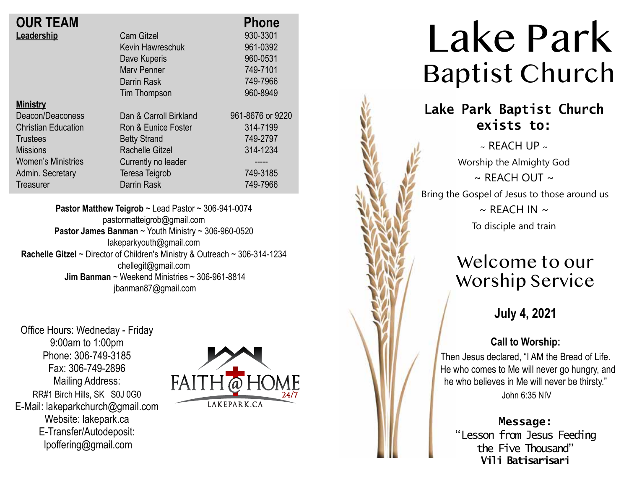| <b>OUR TEAM</b>            |                        | <b>Phone</b>     |
|----------------------------|------------------------|------------------|
| Leadership                 | <b>Cam Gitzel</b>      | 930-3301         |
|                            | Kevin Hawreschuk       | 961-0392         |
|                            | Dave Kuperis           | 960-0531         |
|                            | <b>Mary Penner</b>     | 749-7101         |
|                            | Darrin Rask            | 749-7966         |
|                            | Tim Thompson           | 960-8949         |
| <b>Ministry</b>            |                        |                  |
| Deacon/Deaconess           | Dan & Carroll Birkland | 961-8676 or 9220 |
| <b>Christian Education</b> | Ron & Eunice Foster    | 314-7199         |
| <b>Trustees</b>            | <b>Betty Strand</b>    | 749-2797         |
| <b>Missions</b>            | Rachelle Gitzel        | 314-1234         |
| <b>Women's Ministries</b>  | Currently no leader    |                  |
| Admin. Secretary           | Teresa Teigrob         | 749-3185         |
| Treasurer                  | Darrin Rask            | 749-7966         |

**Pastor Matthew Teigrob** ~ Lead Pastor ~ 306-941-0074 pastormatteigrob@gmail.com **Pastor James Banman** ~ Youth Ministry ~ 306-960-0520 lakeparkyouth@gmail.com **Rachelle Gitzel** ~ Director of Children's Ministry & Outreach ~ 306-314-1234 chellegit@gmail.com  **Jim Banman** ~ Weekend Ministries ~ 306-961-8814 jbanman87@gmail.com

Office Hours: Wedneday - Friday 9:00am to 1:00pm Phone: 306-749-3185 Fax: 306-749-2896 Mailing Address: RR#1 Birch Hills, SK S0J 0G0 E-Mail: lakeparkchurch@gmail.com Website: lakepark.ca E-Transfer/Autodeposit: lpoffering@gmail.com



# Lake Park Baptist Church

## **Lake Park Baptist Church exists to:**

 $\sim$  REACH UP  $\sim$ Worship the Almighty God  $\sim$  RFACH OUT  $\sim$ Bring the Gospel of Jesus to those around us  $\sim$  REACH IN  $\sim$ To disciple and train

## Welcome to our Worship Service

### **July 4, 2021**

### **Call to Worship:**

Then Jesus declared, "I AM the Bread of Life. He who comes to Me will never go hungry, and he who believes in Me will never be thirsty." John 6:35 NIV

**Message:** "Lesson from Jesus Feeding

the Five Thousand" **Vili Batisarisari**